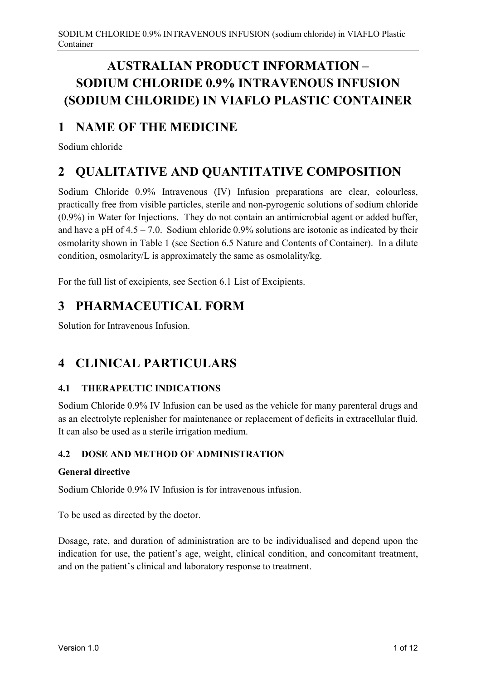# **AUSTRALIAN PRODUCT INFORMATION – SODIUM CHLORIDE 0.9% INTRAVENOUS INFUSION (SODIUM CHLORIDE) IN VIAFLO PLASTIC CONTAINER**

## **1 NAME OF THE MEDICINE**

Sodium chloride

# **2 QUALITATIVE AND QUANTITATIVE COMPOSITION**

Sodium Chloride 0.9% Intravenous (IV) Infusion preparations are clear, colourless, practically free from visible particles, sterile and non-pyrogenic solutions of sodium chloride (0.9%) in Water for Injections. They do not contain an antimicrobial agent or added buffer, and have a pH of  $4.5 - 7.0$ . Sodium chloride 0.9% solutions are isotonic as indicated by their osmolarity shown in Table 1 (see Section 6.5 Nature and Contents of Container). In a dilute condition, osmolarity/L is approximately the same as osmolality/kg.

For the full list of excipients, see Section 6.1 List of Excipients.

## **3 PHARMACEUTICAL FORM**

Solution for Intravenous Infusion.

# **4 CLINICAL PARTICULARS**

## **4.1 THERAPEUTIC INDICATIONS**

Sodium Chloride 0.9% IV Infusion can be used as the vehicle for many parenteral drugs and as an electrolyte replenisher for maintenance or replacement of deficits in extracellular fluid. It can also be used as a sterile irrigation medium.

## **4.2 DOSE AND METHOD OF ADMINISTRATION**

## **General directive**

Sodium Chloride 0.9% IV Infusion is for intravenous infusion.

To be used as directed by the doctor.

Dosage, rate, and duration of administration are to be individualised and depend upon the indication for use, the patient's age, weight, clinical condition, and concomitant treatment, and on the patient's clinical and laboratory response to treatment.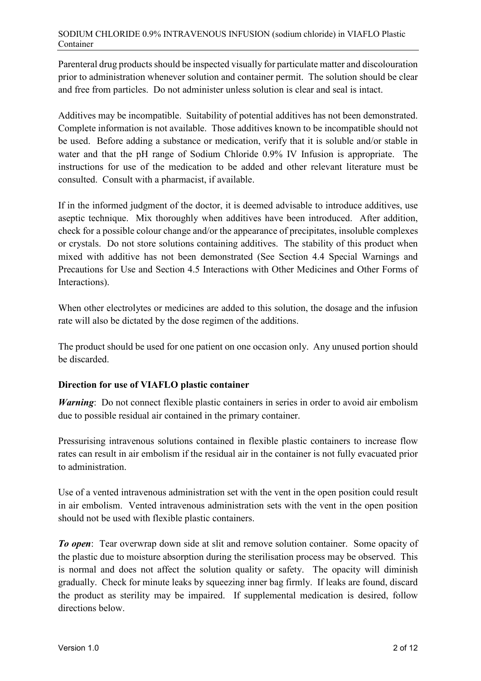Parenteral drug products should be inspected visually for particulate matter and discolouration prior to administration whenever solution and container permit. The solution should be clear and free from particles. Do not administer unless solution is clear and seal is intact.

Additives may be incompatible. Suitability of potential additives has not been demonstrated. Complete information is not available. Those additives known to be incompatible should not be used. Before adding a substance or medication, verify that it is soluble and/or stable in water and that the pH range of Sodium Chloride 0.9% IV Infusion is appropriate. The instructions for use of the medication to be added and other relevant literature must be consulted. Consult with a pharmacist, if available.

If in the informed judgment of the doctor, it is deemed advisable to introduce additives, use aseptic technique. Mix thoroughly when additives have been introduced. After addition, check for a possible colour change and/or the appearance of precipitates, insoluble complexes or crystals. Do not store solutions containing additives. The stability of this product when mixed with additive has not been demonstrated (See Section 4.4 Special Warnings and Precautions for Use and Section 4.5 Interactions with Other Medicines and Other Forms of Interactions).

When other electrolytes or medicines are added to this solution, the dosage and the infusion rate will also be dictated by the dose regimen of the additions.

The product should be used for one patient on one occasion only. Any unused portion should be discarded.

## **Direction for use of VIAFLO plastic container**

*Warning*: Do not connect flexible plastic containers in series in order to avoid air embolism due to possible residual air contained in the primary container.

Pressurising intravenous solutions contained in flexible plastic containers to increase flow rates can result in air embolism if the residual air in the container is not fully evacuated prior to administration.

Use of a vented intravenous administration set with the vent in the open position could result in air embolism. Vented intravenous administration sets with the vent in the open position should not be used with flexible plastic containers.

*To open*: Tear overwrap down side at slit and remove solution container. Some opacity of the plastic due to moisture absorption during the sterilisation process may be observed. This is normal and does not affect the solution quality or safety. The opacity will diminish gradually. Check for minute leaks by squeezing inner bag firmly. If leaks are found, discard the product as sterility may be impaired. If supplemental medication is desired, follow directions below.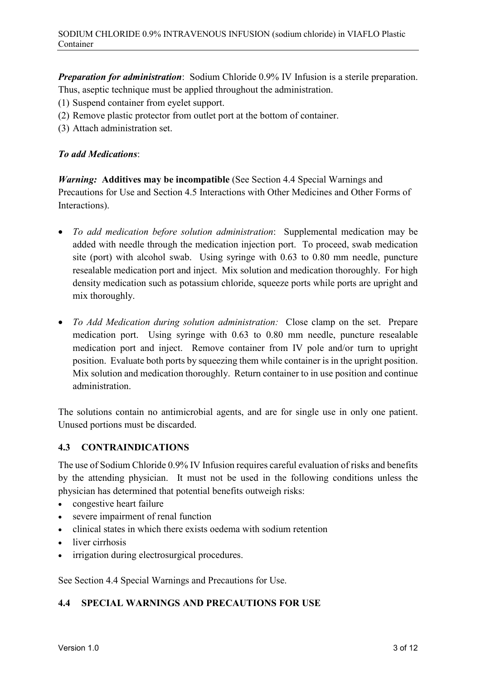*Preparation for administration*: Sodium Chloride 0.9% IV Infusion is a sterile preparation. Thus, aseptic technique must be applied throughout the administration.

- (1) Suspend container from eyelet support.
- (2) Remove plastic protector from outlet port at the bottom of container.
- (3) Attach administration set.

#### *To add Medications*:

*Warning:* **Additives may be incompatible** (See Section 4.4 Special Warnings and Precautions for Use and Section 4.5 Interactions with Other Medicines and Other Forms of Interactions).

- *To add medication before solution administration*: Supplemental medication may be added with needle through the medication injection port. To proceed, swab medication site (port) with alcohol swab. Using syringe with 0.63 to 0.80 mm needle, puncture resealable medication port and inject. Mix solution and medication thoroughly. For high density medication such as potassium chloride, squeeze ports while ports are upright and mix thoroughly.
- *To Add Medication during solution administration:* Close clamp on the set. Prepare medication port. Using syringe with 0.63 to 0.80 mm needle, puncture resealable medication port and inject. Remove container from IV pole and/or turn to upright position. Evaluate both ports by squeezing them while container is in the upright position. Mix solution and medication thoroughly. Return container to in use position and continue administration.

The solutions contain no antimicrobial agents, and are for single use in only one patient. Unused portions must be discarded.

## **4.3 CONTRAINDICATIONS**

The use of Sodium Chloride 0.9% IV Infusion requires careful evaluation of risks and benefits by the attending physician. It must not be used in the following conditions unless the physician has determined that potential benefits outweigh risks:

- congestive heart failure
- severe impairment of renal function
- clinical states in which there exists oedema with sodium retention
- liver cirrhosis
- irrigation during electrosurgical procedures.

See Section 4.4 Special Warnings and Precautions for Use.

## **4.4 SPECIAL WARNINGS AND PRECAUTIONS FOR USE**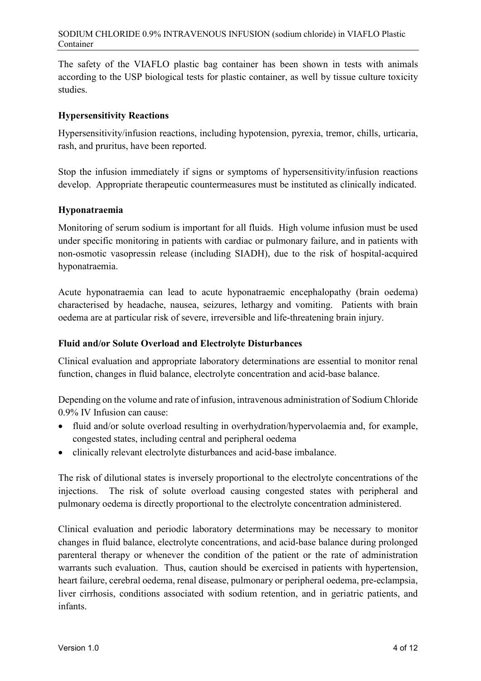The safety of the VIAFLO plastic bag container has been shown in tests with animals according to the USP biological tests for plastic container, as well by tissue culture toxicity studies.

## **Hypersensitivity Reactions**

Hypersensitivity/infusion reactions, including hypotension, pyrexia, tremor, chills, urticaria, rash, and pruritus, have been reported.

Stop the infusion immediately if signs or symptoms of hypersensitivity/infusion reactions develop. Appropriate therapeutic countermeasures must be instituted as clinically indicated.

## **Hyponatraemia**

Monitoring of serum sodium is important for all fluids. High volume infusion must be used under specific monitoring in patients with cardiac or pulmonary failure, and in patients with non-osmotic vasopressin release (including SIADH), due to the risk of hospital-acquired hyponatraemia.

Acute hyponatraemia can lead to acute hyponatraemic encephalopathy (brain oedema) characterised by headache, nausea, seizures, lethargy and vomiting. Patients with brain oedema are at particular risk of severe, irreversible and life-threatening brain injury.

## **Fluid and/or Solute Overload and Electrolyte Disturbances**

Clinical evaluation and appropriate laboratory determinations are essential to monitor renal function, changes in fluid balance, electrolyte concentration and acid-base balance.

Depending on the volume and rate of infusion, intravenous administration of Sodium Chloride 0.9% IV Infusion can cause:

- fluid and/or solute overload resulting in overhydration/hypervolaemia and, for example, congested states, including central and peripheral oedema
- clinically relevant electrolyte disturbances and acid-base imbalance.

The risk of dilutional states is inversely proportional to the electrolyte concentrations of the injections. The risk of solute overload causing congested states with peripheral and pulmonary oedema is directly proportional to the electrolyte concentration administered.

Clinical evaluation and periodic laboratory determinations may be necessary to monitor changes in fluid balance, electrolyte concentrations, and acid-base balance during prolonged parenteral therapy or whenever the condition of the patient or the rate of administration warrants such evaluation. Thus, caution should be exercised in patients with hypertension, heart failure, cerebral oedema, renal disease, pulmonary or peripheral oedema, pre-eclampsia, liver cirrhosis, conditions associated with sodium retention, and in geriatric patients, and infants.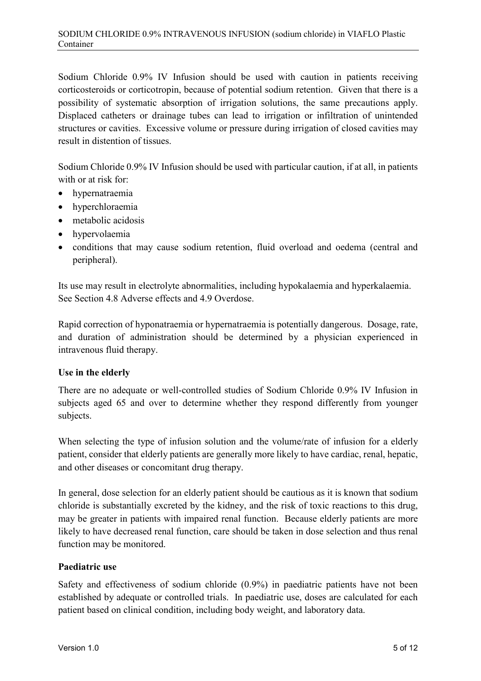Sodium Chloride 0.9% IV Infusion should be used with caution in patients receiving corticosteroids or corticotropin, because of potential sodium retention. Given that there is a possibility of systematic absorption of irrigation solutions, the same precautions apply. Displaced catheters or drainage tubes can lead to irrigation or infiltration of unintended structures or cavities. Excessive volume or pressure during irrigation of closed cavities may result in distention of tissues.

Sodium Chloride 0.9% IV Infusion should be used with particular caution, if at all, in patients with or at risk for:

- hypernatraemia
- hyperchloraemia
- metabolic acidosis
- hypervolaemia
- conditions that may cause sodium retention, fluid overload and oedema (central and peripheral).

Its use may result in electrolyte abnormalities, including hypokalaemia and hyperkalaemia. See Section 4.8 Adverse effects and 4.9 Overdose.

Rapid correction of hyponatraemia or hypernatraemia is potentially dangerous. Dosage, rate, and duration of administration should be determined by a physician experienced in intravenous fluid therapy.

## **Use in the elderly**

There are no adequate or well-controlled studies of Sodium Chloride 0.9% IV Infusion in subjects aged 65 and over to determine whether they respond differently from younger subjects.

When selecting the type of infusion solution and the volume/rate of infusion for a elderly patient, consider that elderly patients are generally more likely to have cardiac, renal, hepatic, and other diseases or concomitant drug therapy.

In general, dose selection for an elderly patient should be cautious as it is known that sodium chloride is substantially excreted by the kidney, and the risk of toxic reactions to this drug, may be greater in patients with impaired renal function. Because elderly patients are more likely to have decreased renal function, care should be taken in dose selection and thus renal function may be monitored.

## **Paediatric use**

Safety and effectiveness of sodium chloride (0.9%) in paediatric patients have not been established by adequate or controlled trials. In paediatric use, doses are calculated for each patient based on clinical condition, including body weight, and laboratory data.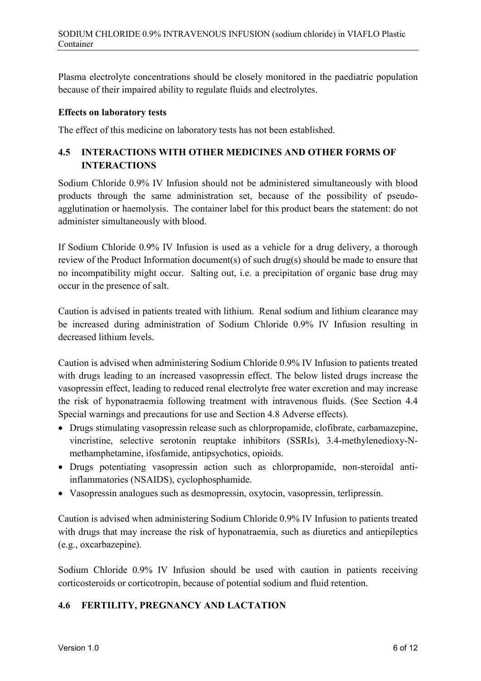Plasma electrolyte concentrations should be closely monitored in the paediatric population because of their impaired ability to regulate fluids and electrolytes.

#### **Effects on laboratory tests**

The effect of this medicine on laboratory tests has not been established.

## **4.5 INTERACTIONS WITH OTHER MEDICINES AND OTHER FORMS OF INTERACTIONS**

Sodium Chloride 0.9% IV Infusion should not be administered simultaneously with blood products through the same administration set, because of the possibility of pseudoagglutination or haemolysis. The container label for this product bears the statement: do not administer simultaneously with blood.

If Sodium Chloride 0.9% IV Infusion is used as a vehicle for a drug delivery, a thorough review of the Product Information document(s) of such drug(s) should be made to ensure that no incompatibility might occur. Salting out, i.e. a precipitation of organic base drug may occur in the presence of salt.

Caution is advised in patients treated with lithium. Renal sodium and lithium clearance may be increased during administration of Sodium Chloride 0.9% IV Infusion resulting in decreased lithium levels.

Caution is advised when administering Sodium Chloride 0.9% IV Infusion to patients treated with drugs leading to an increased vasopressin effect. The below listed drugs increase the vasopressin effect, leading to reduced renal electrolyte free water excretion and may increase the risk of hyponatraemia following treatment with intravenous fluids. (See Section 4.4 Special warnings and precautions for use and Section 4.8 Adverse effects).

- Drugs stimulating vasopressin release such as chlorpropamide, clofibrate, carbamazepine, vincristine, selective serotonin reuptake inhibitors (SSRIs), 3.4-methylenedioxy-Nmethamphetamine, ifosfamide, antipsychotics, opioids.
- Drugs potentiating vasopressin action such as chlorpropamide, non-steroidal antiinflammatories (NSAIDS), cyclophosphamide.
- Vasopressin analogues such as desmopressin, oxytocin, vasopressin, terlipressin.

Caution is advised when administering Sodium Chloride 0.9% IV Infusion to patients treated with drugs that may increase the risk of hyponatraemia, such as diuretics and antiepileptics (e.g., oxcarbazepine).

Sodium Chloride 0.9% IV Infusion should be used with caution in patients receiving corticosteroids or corticotropin, because of potential sodium and fluid retention.

## **4.6 FERTILITY, PREGNANCY AND LACTATION**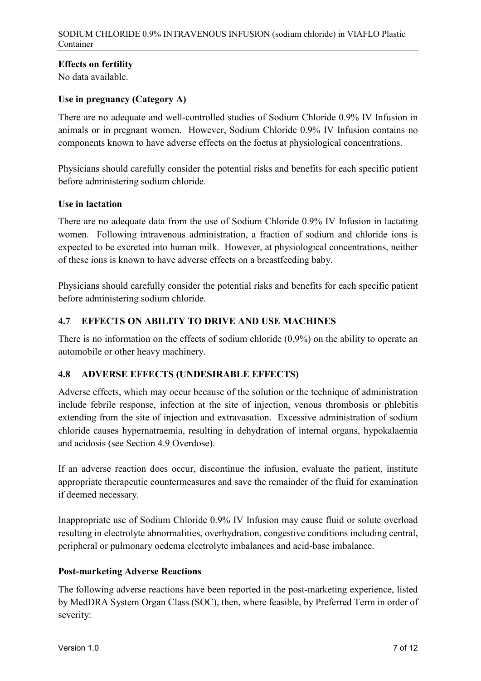## **Effects on fertility**

No data available.

## **Use in pregnancy (Category A)**

There are no adequate and well-controlled studies of Sodium Chloride 0.9% IV Infusion in animals or in pregnant women. However, Sodium Chloride 0.9% IV Infusion contains no components known to have adverse effects on the foetus at physiological concentrations.

Physicians should carefully consider the potential risks and benefits for each specific patient before administering sodium chloride.

#### **Use in lactation**

There are no adequate data from the use of Sodium Chloride 0.9% IV Infusion in lactating women. Following intravenous administration, a fraction of sodium and chloride ions is expected to be excreted into human milk. However, at physiological concentrations, neither of these ions is known to have adverse effects on a breastfeeding baby.

Physicians should carefully consider the potential risks and benefits for each specific patient before administering sodium chloride.

## **4.7 EFFECTS ON ABILITY TO DRIVE AND USE MACHINES**

There is no information on the effects of sodium chloride (0.9%) on the ability to operate an automobile or other heavy machinery.

## **4.8 ADVERSE EFFECTS (UNDESIRABLE EFFECTS)**

Adverse effects, which may occur because of the solution or the technique of administration include febrile response, infection at the site of injection, venous thrombosis or phlebitis extending from the site of injection and extravasation. Excessive administration of sodium chloride causes hypernatraemia, resulting in dehydration of internal organs, hypokalaemia and acidosis (see Section 4.9 Overdose).

If an adverse reaction does occur, discontinue the infusion, evaluate the patient, institute appropriate therapeutic countermeasures and save the remainder of the fluid for examination if deemed necessary.

Inappropriate use of Sodium Chloride 0.9% IV Infusion may cause fluid or solute overload resulting in electrolyte abnormalities, overhydration, congestive conditions including central, peripheral or pulmonary oedema electrolyte imbalances and acid-base imbalance.

## **Post-marketing Adverse Reactions**

The following adverse reactions have been reported in the post-marketing experience, listed by MedDRA System Organ Class (SOC), then, where feasible, by Preferred Term in order of severity: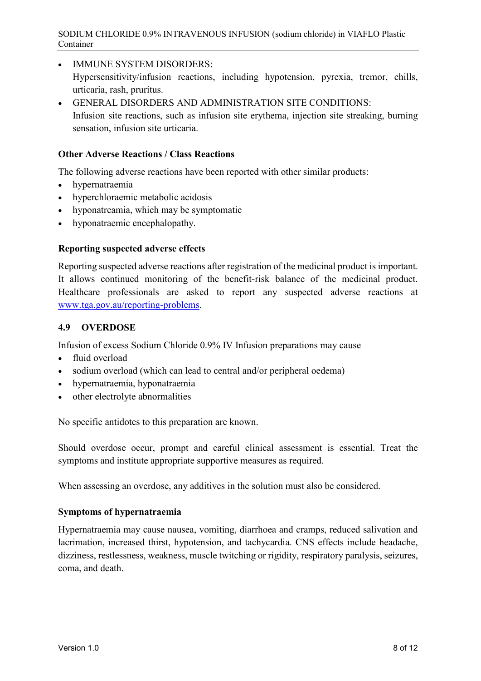- IMMUNE SYSTEM DISORDERS: Hypersensitivity/infusion reactions, including hypotension, pyrexia, tremor, chills, urticaria, rash, pruritus.
- GENERAL DISORDERS AND ADMINISTRATION SITE CONDITIONS: Infusion site reactions, such as infusion site erythema, injection site streaking, burning sensation, infusion site urticaria.

#### **Other Adverse Reactions / Class Reactions**

The following adverse reactions have been reported with other similar products:

- hypernatraemia
- hyperchloraemic metabolic acidosis
- hyponatreamia, which may be symptomatic
- hyponatraemic encephalopathy.

## **Reporting suspected adverse effects**

Reporting suspected adverse reactions after registration of the medicinal product is important. It allows continued monitoring of the benefit-risk balance of the medicinal product. Healthcare professionals are asked to report any suspected adverse reactions at [www.tga.gov.au/reporting-problems.](http://www.tga.gov.au/reporting-problems)

## **4.9 OVERDOSE**

Infusion of excess Sodium Chloride 0.9% IV Infusion preparations may cause

- fluid overload
- sodium overload (which can lead to central and/or peripheral oedema)
- hypernatraemia, hyponatraemia
- other electrolyte abnormalities

No specific antidotes to this preparation are known.

Should overdose occur, prompt and careful clinical assessment is essential. Treat the symptoms and institute appropriate supportive measures as required.

When assessing an overdose, any additives in the solution must also be considered.

## **Symptoms of hypernatraemia**

Hypernatraemia may cause nausea, vomiting, diarrhoea and cramps, reduced salivation and lacrimation, increased thirst, hypotension, and tachycardia. CNS effects include headache, dizziness, restlessness, weakness, muscle twitching or rigidity, respiratory paralysis, seizures, coma, and death.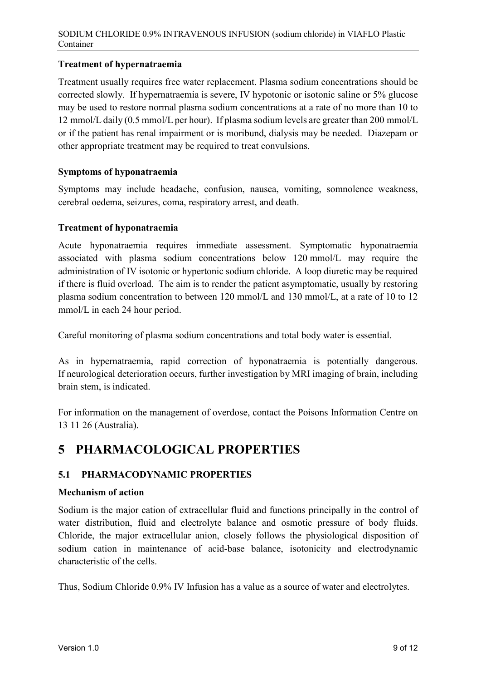## **Treatment of hypernatraemia**

Treatment usually requires free water replacement. Plasma sodium concentrations should be corrected slowly. If hypernatraemia is severe, IV hypotonic or isotonic saline or 5% glucose may be used to restore normal plasma sodium concentrations at a rate of no more than 10 to 12 mmol/L daily (0.5 mmol/L per hour). If plasma sodium levels are greater than 200 mmol/L or if the patient has renal impairment or is moribund, dialysis may be needed. Diazepam or other appropriate treatment may be required to treat convulsions.

## **Symptoms of hyponatraemia**

Symptoms may include headache, confusion, nausea, vomiting, somnolence weakness, cerebral oedema, seizures, coma, respiratory arrest, and death.

#### **Treatment of hyponatraemia**

Acute hyponatraemia requires immediate assessment. Symptomatic hyponatraemia associated with plasma sodium concentrations below 120 mmol/L may require the administration of IV isotonic or hypertonic sodium chloride. A loop diuretic may be required if there is fluid overload. The aim is to render the patient asymptomatic, usually by restoring plasma sodium concentration to between 120 mmol/L and 130 mmol/L, at a rate of 10 to 12 mmol/L in each 24 hour period.

Careful monitoring of plasma sodium concentrations and total body water is essential.

As in hypernatraemia, rapid correction of hyponatraemia is potentially dangerous. If neurological deterioration occurs, further investigation by MRI imaging of brain, including brain stem, is indicated.

For information on the management of overdose, contact the Poisons Information Centre on 13 11 26 (Australia).

## **5 PHARMACOLOGICAL PROPERTIES**

## **5.1 PHARMACODYNAMIC PROPERTIES**

#### **Mechanism of action**

Sodium is the major cation of extracellular fluid and functions principally in the control of water distribution, fluid and electrolyte balance and osmotic pressure of body fluids. Chloride, the major extracellular anion, closely follows the physiological disposition of sodium cation in maintenance of acid-base balance, isotonicity and electrodynamic characteristic of the cells.

Thus, Sodium Chloride 0.9% IV Infusion has a value as a source of water and electrolytes.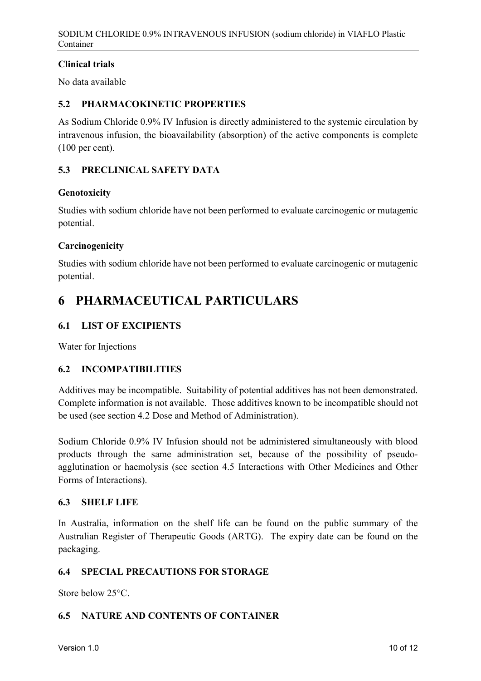## **Clinical trials**

No data available

## **5.2 PHARMACOKINETIC PROPERTIES**

As Sodium Chloride 0.9% IV Infusion is directly administered to the systemic circulation by intravenous infusion, the bioavailability (absorption) of the active components is complete (100 per cent).

## **5.3 PRECLINICAL SAFETY DATA**

## **Genotoxicity**

Studies with sodium chloride have not been performed to evaluate carcinogenic or mutagenic potential.

## **Carcinogenicity**

Studies with sodium chloride have not been performed to evaluate carcinogenic or mutagenic potential.

## **6 PHARMACEUTICAL PARTICULARS**

## **6.1 LIST OF EXCIPIENTS**

Water for Injections

## **6.2 INCOMPATIBILITIES**

Additives may be incompatible. Suitability of potential additives has not been demonstrated. Complete information is not available. Those additives known to be incompatible should not be used (see section 4.2 Dose and Method of Administration).

Sodium Chloride 0.9% IV Infusion should not be administered simultaneously with blood products through the same administration set, because of the possibility of pseudoagglutination or haemolysis (see section 4.5 Interactions with Other Medicines and Other Forms of Interactions).

## **6.3 SHELF LIFE**

In Australia, information on the shelf life can be found on the public summary of the Australian Register of Therapeutic Goods (ARTG). The expiry date can be found on the packaging.

## **6.4 SPECIAL PRECAUTIONS FOR STORAGE**

Store below 25°C.

## **6.5 NATURE AND CONTENTS OF CONTAINER**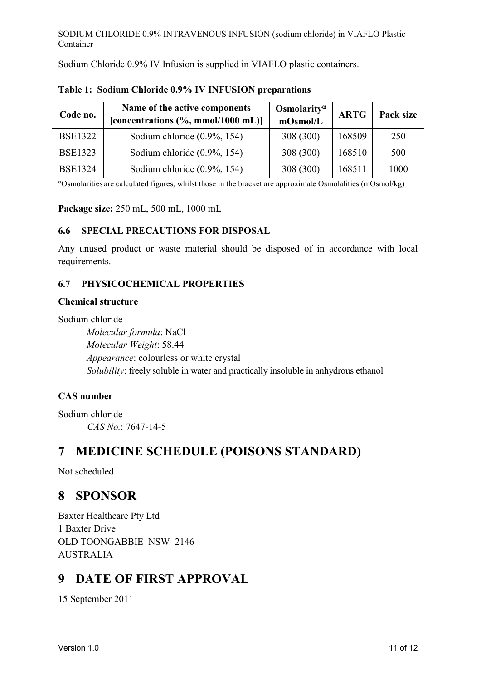Sodium Chloride 0.9% IV Infusion is supplied in VIAFLO plastic containers.

| Code no.       | Name of the active components<br>[concentrations $(\%$ , mmol/1000 mL)] | Osmolarity <sup><math>\alpha</math></sup><br>mOsmol/L | <b>ARTG</b> | Pack size |
|----------------|-------------------------------------------------------------------------|-------------------------------------------------------|-------------|-----------|
| <b>BSE1322</b> | Sodium chloride $(0.9\%, 154)$                                          | 308 (300)                                             | 168509      | 250       |
| <b>BSE1323</b> | Sodium chloride $(0.9\%, 154)$                                          | 308 (300)                                             | 168510      | 500       |
| <b>BSE1324</b> | Sodium chloride $(0.9\%, 154)$                                          | 308 (300)                                             | 168511      | 1000      |

**Table 1: Sodium Chloride 0.9% IV INFUSION preparations**

<sup>α</sup>Osmolarities are calculated figures, whilst those in the bracket are approximate Osmolalities (mOsmol/kg)

**Package size:** 250 mL, 500 mL, 1000 mL

## **6.6 SPECIAL PRECAUTIONS FOR DISPOSAL**

Any unused product or waste material should be disposed of in accordance with local requirements.

## **6.7 PHYSICOCHEMICAL PROPERTIES**

#### **Chemical structure**

Sodium chloride

*Molecular formula*: NaCl *Molecular Weight*: 58.44 *Appearance*: colourless or white crystal *Solubility*: freely soluble in water and practically insoluble in anhydrous ethanol

## **CAS number**

Sodium chloride *CAS No.*: 7647-14-5

## **7 MEDICINE SCHEDULE (POISONS STANDARD)**

Not scheduled

## **8 SPONSOR**

Baxter Healthcare Pty Ltd 1 Baxter Drive OLD TOONGABBIE NSW 2146 AUSTRALIA

## **9 DATE OF FIRST APPROVAL**

15 September 2011